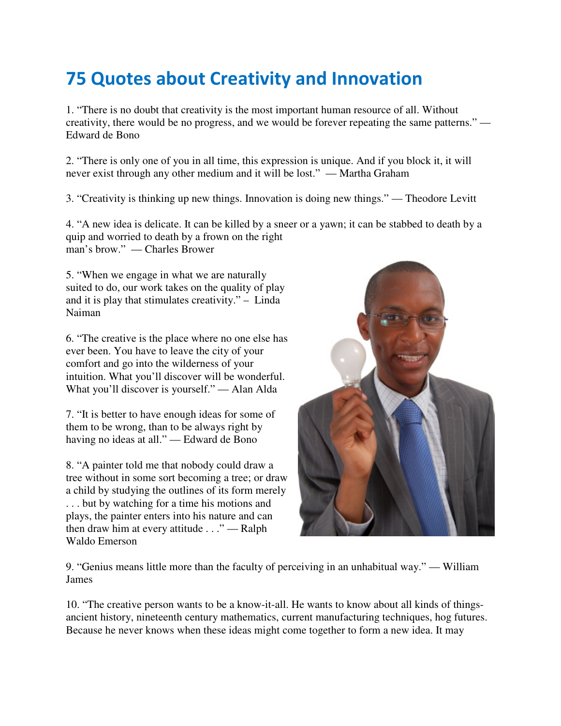## 75 Quotes about Creativity and Innovation

1. "There is no doubt that creativity is the most important human resource of all. Without creativity, there would be no progress, and we would be forever repeating the same patterns." — Edward de Bono

2. "There is only one of you in all time, this expression is unique. And if you block it, it will never exist through any other medium and it will be lost." — Martha Graham

3. "Creativity is thinking up new things. Innovation is doing new things." — Theodore Levitt

4. "A new idea is delicate. It can be killed by a sneer or a yawn; it can be stabbed to death by a quip and worried to death by a frown on the right man's brow." — Charles Brower

5. "When we engage in what we are naturally suited to do, our work takes on the quality of play and it is play that stimulates creativity." – Linda Naiman

6. "The creative is the place where no one else has ever been. You have to leave the city of your comfort and go into the wilderness of your intuition. What you'll discover will be wonderful. What you'll discover is yourself." — Alan Alda

7. "It is better to have enough ideas for some of them to be wrong, than to be always right by having no ideas at all." — Edward de Bono

8. "A painter told me that nobody could draw a tree without in some sort becoming a tree; or draw a child by studying the outlines of its form merely . . . but by watching for a time his motions and plays, the painter enters into his nature and can then draw him at every attitude . . ." — Ralph Waldo Emerson



9. "Genius means little more than the faculty of perceiving in an unhabitual way." — William James

10. "The creative person wants to be a know-it-all. He wants to know about all kinds of thingsancient history, nineteenth century mathematics, current manufacturing techniques, hog futures. Because he never knows when these ideas might come together to form a new idea. It may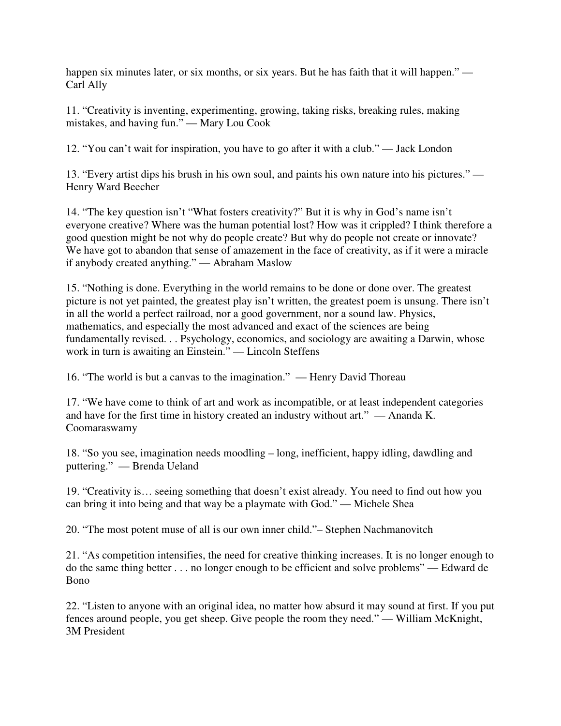happen six minutes later, or six months, or six years. But he has faith that it will happen." — Carl Ally

11. "Creativity is inventing, experimenting, growing, taking risks, breaking rules, making mistakes, and having fun." — Mary Lou Cook

12. "You can't wait for inspiration, you have to go after it with a club." — Jack London

13. "Every artist dips his brush in his own soul, and paints his own nature into his pictures." — Henry Ward Beecher

14. "The key question isn't "What fosters creativity?" But it is why in God's name isn't everyone creative? Where was the human potential lost? How was it crippled? I think therefore a good question might be not why do people create? But why do people not create or innovate? We have got to abandon that sense of amazement in the face of creativity, as if it were a miracle if anybody created anything." — Abraham Maslow

15. "Nothing is done. Everything in the world remains to be done or done over. The greatest picture is not yet painted, the greatest play isn't written, the greatest poem is unsung. There isn't in all the world a perfect railroad, nor a good government, nor a sound law. Physics, mathematics, and especially the most advanced and exact of the sciences are being fundamentally revised. . . Psychology, economics, and sociology are awaiting a Darwin, whose work in turn is awaiting an Einstein." — Lincoln Steffens

16. "The world is but a canvas to the imagination." — Henry David Thoreau

17. "We have come to think of art and work as incompatible, or at least independent categories and have for the first time in history created an industry without art." — Ananda K. Coomaraswamy

18. "So you see, imagination needs moodling – long, inefficient, happy idling, dawdling and puttering." — Brenda Ueland

19. "Creativity is… seeing something that doesn't exist already. You need to find out how you can bring it into being and that way be a playmate with God." — Michele Shea

20. "The most potent muse of all is our own inner child."– Stephen Nachmanovitch

21. "As competition intensifies, the need for creative thinking increases. It is no longer enough to do the same thing better . . . no longer enough to be efficient and solve problems" — Edward de Bono

22. "Listen to anyone with an original idea, no matter how absurd it may sound at first. If you put fences around people, you get sheep. Give people the room they need." — William McKnight, 3M President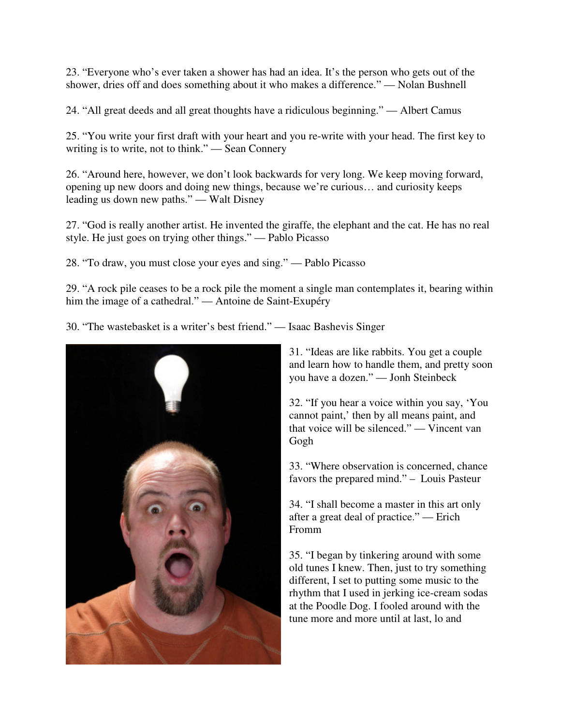23. "Everyone who's ever taken a shower has had an idea. It's the person who gets out of the shower, dries off and does something about it who makes a difference." — Nolan Bushnell

24. "All great deeds and all great thoughts have a ridiculous beginning." — Albert Camus

25. "You write your first draft with your heart and you re-write with your head. The first key to writing is to write, not to think." — Sean Connery

26. "Around here, however, we don't look backwards for very long. We keep moving forward, opening up new doors and doing new things, because we're curious… and curiosity keeps leading us down new paths." — Walt Disney

27. "God is really another artist. He invented the giraffe, the elephant and the cat. He has no real style. He just goes on trying other things." — Pablo Picasso

28. "To draw, you must close your eyes and sing." — Pablo Picasso

29. "A rock pile ceases to be a rock pile the moment a single man contemplates it, bearing within him the image of a cathedral." — Antoine de Saint-Exupéry

30. "The wastebasket is a writer's best friend." — Isaac Bashevis Singer



31. "Ideas are like rabbits. You get a couple and learn how to handle them, and pretty soon you have a dozen." — Jonh Steinbeck

32. "If you hear a voice within you say, 'You cannot paint,' then by all means paint, and that voice will be silenced." — Vincent van Gogh

33. "Where observation is concerned, chance favors the prepared mind." – Louis Pasteur

34. "I shall become a master in this art only after a great deal of practice." — Erich Fromm

35. "I began by tinkering around with some old tunes I knew. Then, just to try something different, I set to putting some music to the rhythm that I used in jerking ice-cream sodas at the Poodle Dog. I fooled around with the tune more and more until at last, lo and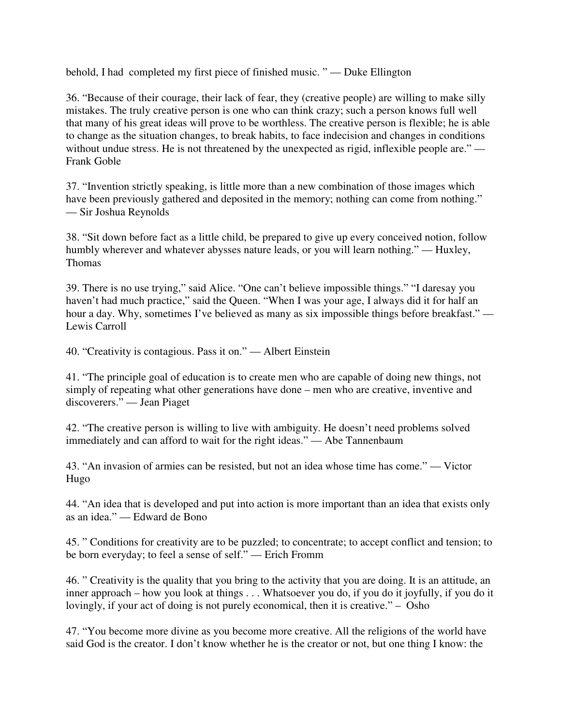behold, I had completed my first piece of finished music. " — Duke Ellington

36. "Because of their courage, their lack of fear, they (creative people) are willing to make silly mistakes. The truly creative person is one who can think crazy; such a person knows full well that many of his great ideas will prove to be worthless. The creative person is flexible; he is able to change as the situation changes, to break habits, to face indecision and changes in conditions without undue stress. He is not threatened by the unexpected as rigid, inflexible people are." — Frank Goble

37. "Invention strictly speaking, is little more than a new combination of those images which have been previously gathered and deposited in the memory; nothing can come from nothing." — Sir Joshua Reynolds

38. "Sit down before fact as a little child, be prepared to give up every conceived notion, follow humbly wherever and whatever abysses nature leads, or you will learn nothing." — Huxley, Thomas

39. There is no use trying," said Alice. "One can't believe impossible things." "I daresay you haven't had much practice," said the Queen. "When I was your age, I always did it for half an hour a day. Why, sometimes I've believed as many as six impossible things before breakfast." — Lewis Carroll

40. "Creativity is contagious. Pass it on." — Albert Einstein

41. "The principle goal of education is to create men who are capable of doing new things, not simply of repeating what other generations have done – men who are creative, inventive and discoverers." — Jean Piaget

42. "The creative person is willing to live with ambiguity. He doesn't need problems solved immediately and can afford to wait for the right ideas." — Abe Tannenbaum

43. "An invasion of armies can be resisted, but not an idea whose time has come." — Victor Hugo

44. "An idea that is developed and put into action is more important than an idea that exists only as an idea." — Edward de Bono

45. " Conditions for creativity are to be puzzled; to concentrate; to accept conflict and tension; to be born everyday; to feel a sense of self." — Erich Fromm

46. " Creativity is the quality that you bring to the activity that you are doing. It is an attitude, an inner approach – how you look at things . . . Whatsoever you do, if you do it joyfully, if you do it lovingly, if your act of doing is not purely economical, then it is creative." – Osho

47. "You become more divine as you become more creative. All the religions of the world have said God is the creator. I don't know whether he is the creator or not, but one thing I know: the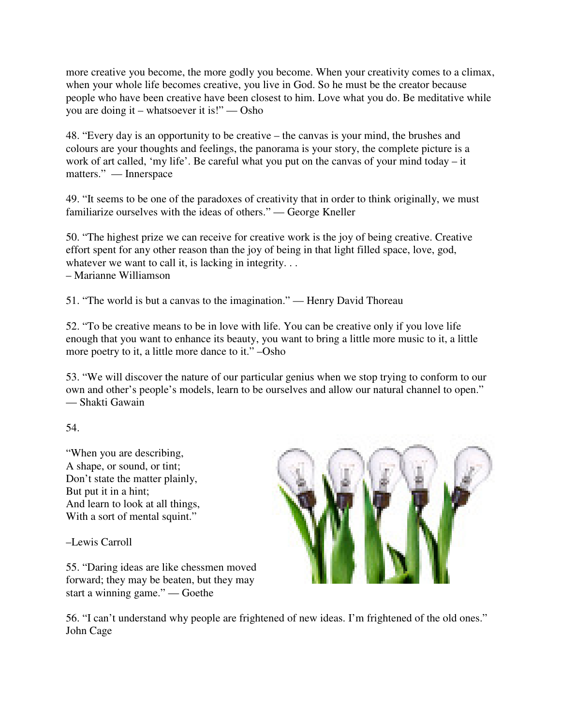more creative you become, the more godly you become. When your creativity comes to a climax, when your whole life becomes creative, you live in God. So he must be the creator because people who have been creative have been closest to him. Love what you do. Be meditative while you are doing it – whatsoever it is!" — Osho

48. "Every day is an opportunity to be creative – the canvas is your mind, the brushes and colours are your thoughts and feelings, the panorama is your story, the complete picture is a work of art called, 'my life'. Be careful what you put on the canvas of your mind today – it matters." — Innerspace

49. "It seems to be one of the paradoxes of creativity that in order to think originally, we must familiarize ourselves with the ideas of others." — George Kneller

50. "The highest prize we can receive for creative work is the joy of being creative. Creative effort spent for any other reason than the joy of being in that light filled space, love, god, whatever we want to call it, is lacking in integrity. . .

– Marianne Williamson

51. "The world is but a canvas to the imagination." — Henry David Thoreau

52. "To be creative means to be in love with life. You can be creative only if you love life enough that you want to enhance its beauty, you want to bring a little more music to it, a little more poetry to it, a little more dance to it." –Osho

53. "We will discover the nature of our particular genius when we stop trying to conform to our own and other's people's models, learn to be ourselves and allow our natural channel to open." — Shakti Gawain

54.

"When you are describing, A shape, or sound, or tint; Don't state the matter plainly, But put it in a hint; And learn to look at all things, With a sort of mental squint."

–Lewis Carroll

55. "Daring ideas are like chessmen moved forward; they may be beaten, but they may start a winning game." — Goethe



56. "I can't understand why people are frightened of new ideas. I'm frightened of the old ones." John Cage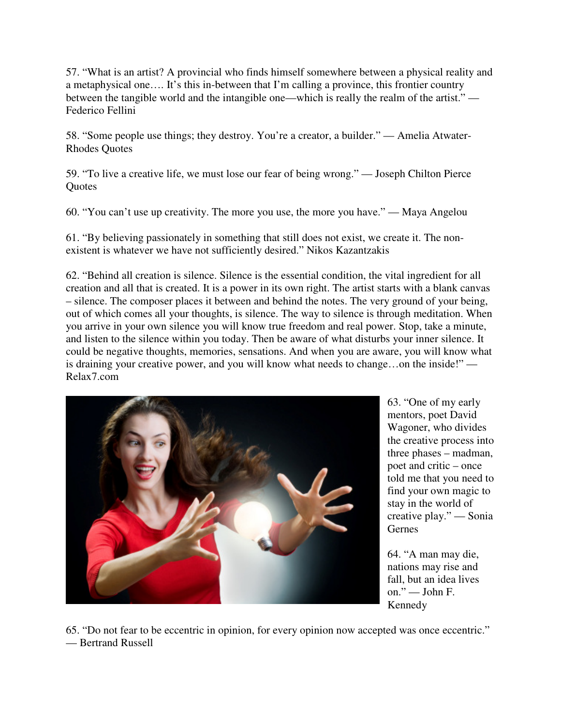57. "What is an artist? A provincial who finds himself somewhere between a physical reality and a metaphysical one…. It's this in-between that I'm calling a province, this frontier country between the tangible world and the intangible one—which is really the realm of the artist." — Federico Fellini

58. "Some people use things; they destroy. You're a creator, a builder." — Amelia Atwater-Rhodes Quotes

59. "To live a creative life, we must lose our fear of being wrong." — Joseph Chilton Pierce **Ouotes** 

60. "You can't use up creativity. The more you use, the more you have." — Maya Angelou

61. "By believing passionately in something that still does not exist, we create it. The nonexistent is whatever we have not sufficiently desired." Nikos Kazantzakis

62. "Behind all creation is silence. Silence is the essential condition, the vital ingredient for all creation and all that is created. It is a power in its own right. The artist starts with a blank canvas – silence. The composer places it between and behind the notes. The very ground of your being, out of which comes all your thoughts, is silence. The way to silence is through meditation. When you arrive in your own silence you will know true freedom and real power. Stop, take a minute, and listen to the silence within you today. Then be aware of what disturbs your inner silence. It could be negative thoughts, memories, sensations. And when you are aware, you will know what is draining your creative power, and you will know what needs to change…on the inside!" — Relax7.com



63. "One of my early mentors, poet David Wagoner, who divides the creative process into three phases – madman, poet and critic – once told me that you need to find your own magic to stay in the world of creative play." — Sonia Gernes

64. "A man may die, nations may rise and fall, but an idea lives on." — John F. Kennedy

65. "Do not fear to be eccentric in opinion, for every opinion now accepted was once eccentric." — Bertrand Russell